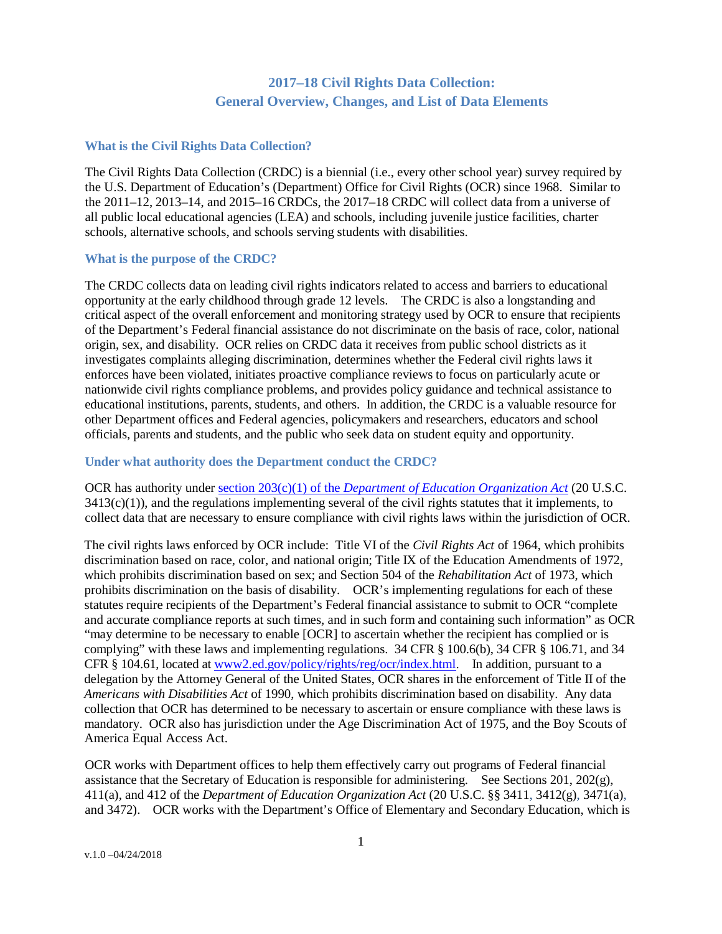# **2017–18 Civil Rights Data Collection: General Overview, Changes, and List of Data Elements**

### **What is the Civil Rights Data Collection?**

The Civil Rights Data Collection (CRDC) is a biennial (i.e., every other school year) survey required by the U.S. Department of Education's (Department) Office for Civil Rights (OCR) since 1968. Similar to the 2011–12, 2013–14, and 2015–16 CRDCs, the 2017–18 CRDC will collect data from a universe of all public local educational agencies (LEA) and schools, including juvenile justice facilities, charter schools, alternative schools, and schools serving students with disabilities.

#### **What is the purpose of the CRDC?**

The CRDC collects data on leading civil rights indicators related to access and barriers to educational opportunity at the early childhood through grade 12 levels. The CRDC is also a longstanding and critical aspect of the overall enforcement and monitoring strategy used by OCR to ensure that recipients of the Department's Federal financial assistance do not discriminate on the basis of race, color, national origin, sex, and disability. OCR relies on CRDC data it receives from public school districts as it investigates complaints alleging discrimination, determines whether the Federal civil rights laws it enforces have been violated, initiates proactive compliance reviews to focus on particularly acute or nationwide civil rights compliance problems, and provides policy guidance and technical assistance to educational institutions, parents, students, and others. In addition, the CRDC is a valuable resource for other Department offices and Federal agencies, policymakers and researchers, educators and school officials, parents and students, and the public who seek data on student equity and opportunity.

#### **Under what authority does the Department conduct the CRDC?**

OCR has authority under section 203(c)(1) of the *[Department of Education Organization](https://www.gpo.gov/fdsys/granule/STATUTE-93/STATUTE-93-Pg668/content-detail.html) Act* (20 U.S.C.  $3413(c)(1)$ , and the regulations implementing several of the civil rights statutes that it implements, to collect data that are necessary to ensure compliance with civil rights laws within the jurisdiction of OCR.

The civil rights laws enforced by OCR include: Title VI of the *Civil Rights Act* of 1964, which prohibits discrimination based on race, color, and national origin; Title IX of the Education Amendments of 1972, which prohibits discrimination based on sex; and Section 504 of the *Rehabilitation Act* of 1973, which prohibits discrimination on the basis of disability. OCR's implementing regulations for each of these statutes require recipients of the Department's Federal financial assistance to submit to OCR "complete and accurate compliance reports at such times, and in such form and containing such information" as OCR "may determine to be necessary to enable [OCR] to ascertain whether the recipient has complied or is complying" with these laws and implementing regulations. 34 CFR § 100.6(b), 34 CFR § 106.71, and 34 CFR § 104.61, located a[t www2.ed.gov/policy/rights/reg/ocr/index.html.](http://www2.ed.gov/policy/rights/reg/ocr/index.html) In addition, pursuant to a delegation by the Attorney General of the United States, OCR shares in the enforcement of Title II of the *Americans with Disabilities Act* of 1990, which prohibits discrimination based on disability. Any data collection that OCR has determined to be necessary to ascertain or ensure compliance with these laws is mandatory. OCR also has jurisdiction under the Age Discrimination Act of 1975, and the Boy Scouts of America Equal Access Act.

OCR works with Department offices to help them effectively carry out programs of Federal financial assistance that the Secretary of Education is responsible for administering. See Sections 201, 202 $(g)$ , 411(a), and 412 of the *Department of Education Organization Act* (20 U.S.C. §§ 3411, 3412(g), 3471(a), and 3472). OCR works with the Department's Office of Elementary and Secondary Education, which is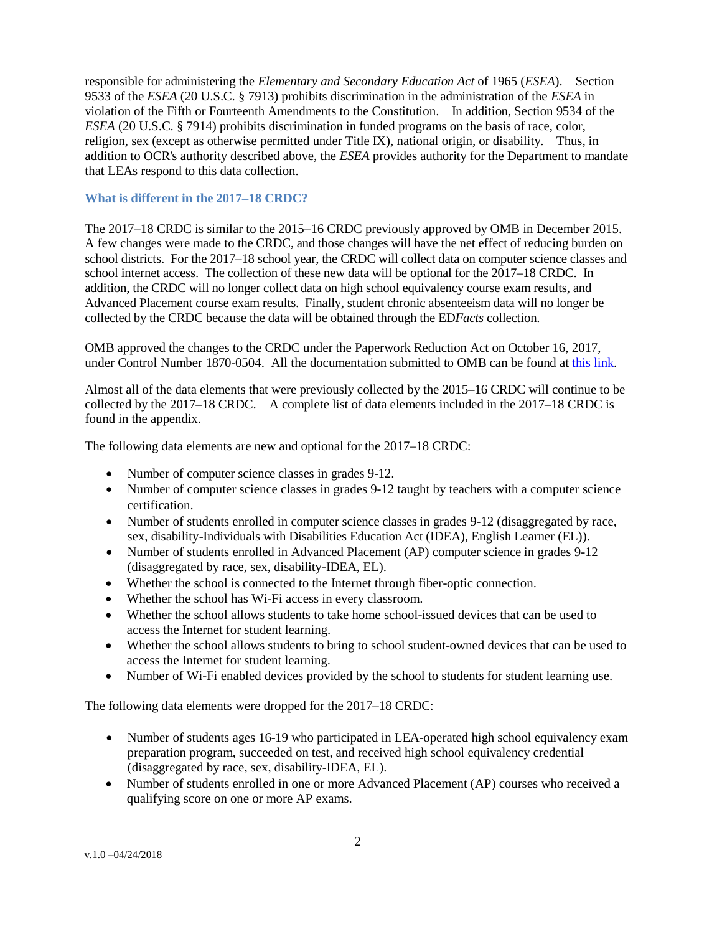responsible for administering the *Elementary and Secondary Education Act* of 1965 (*ESEA*). Section 9533 of the *ESEA* (20 U.S.C. § 7913) prohibits discrimination in the administration of the *ESEA* in violation of the Fifth or Fourteenth Amendments to the Constitution. In addition, Section 9534 of the *ESEA* (20 U.S.C. § 7914) prohibits discrimination in funded programs on the basis of race, color, religion, sex (except as otherwise permitted under Title IX), national origin, or disability. Thus, in addition to OCR's authority described above, the *ESEA* provides authority for the Department to mandate that LEAs respond to this data collection.

### **What is different in the 2017–18 CRDC?**

The 2017–18 CRDC is similar to the 2015–16 CRDC previously approved by OMB in December 2015. A few changes were made to the CRDC, and those changes will have the net effect of reducing burden on school districts. For the 2017–18 school year, the CRDC will collect data on computer science classes and school internet access. The collection of these new data will be optional for the 2017–18 CRDC. In addition, the CRDC will no longer collect data on high school equivalency course exam results, and Advanced Placement course exam results. Finally, student chronic absenteeism data will no longer be collected by the CRDC because the data will be obtained through the ED*Facts* collection.

OMB approved the changes to the CRDC under the Paperwork Reduction Act on October 16, 2017, under Control Number 1870-0504. All the documentation submitted to OMB can be found at this [link.](http://www.reginfo.gov/public/do/PRAViewICR?ref_nbr=201702-1870-001)

Almost all of the data elements that were previously collected by the 2015–16 CRDC will continue to be collected by the 2017–18 CRDC. A complete list of data elements included in the 2017–18 CRDC is found in the appendix.

The following data elements are new and optional for the 2017–18 CRDC:

- Number of computer science classes in grades 9-12.
- Number of computer science classes in grades 9-12 taught by teachers with a computer science certification.
- Number of students enrolled in computer science classes in grades 9-12 (disaggregated by race, sex, disability-Individuals with Disabilities Education Act (IDEA), English Learner (EL)).
- Number of students enrolled in Advanced Placement (AP) computer science in grades 9-12 (disaggregated by race, sex, disability-IDEA, EL).
- Whether the school is connected to the Internet through fiber-optic connection.
- Whether the school has Wi-Fi access in every classroom.
- Whether the school allows students to take home school-issued devices that can be used to access the Internet for student learning.
- Whether the school allows students to bring to school student-owned devices that can be used to access the Internet for student learning.
- Number of Wi-Fi enabled devices provided by the school to students for student learning use.

The following data elements were dropped for the 2017–18 CRDC:

- Number of students ages 16-19 who participated in LEA-operated high school equivalency exam preparation program, succeeded on test, and received high school equivalency credential (disaggregated by race, sex, disability-IDEA, EL).
- Number of students enrolled in one or more Advanced Placement (AP) courses who received a qualifying score on one or more AP exams.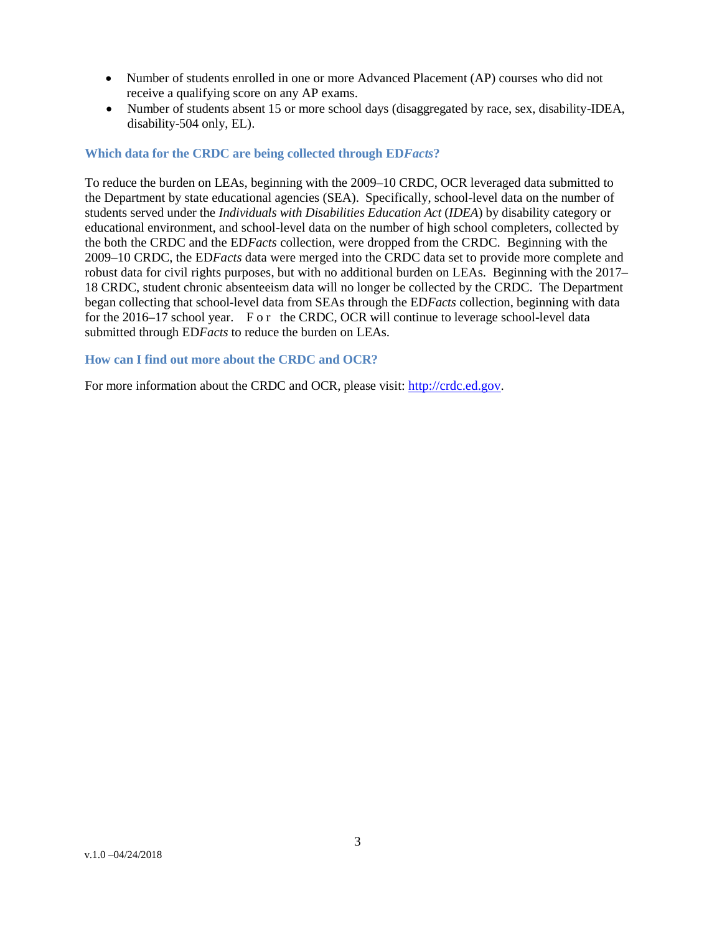- Number of students enrolled in one or more Advanced Placement (AP) courses who did not receive a qualifying score on any AP exams.
- Number of students absent 15 or more school days (disaggregated by race, sex, disability-IDEA, disability-504 only, EL).

### **Which data for the CRDC are being collected through ED***Facts***?**

To reduce the burden on LEAs, beginning with the 2009–10 CRDC, OCR leveraged data submitted to the Department by state educational agencies (SEA). Specifically, school-level data on the number of students served under the *Individuals with Disabilities Education Act* (*IDEA*) by disability category or educational environment, and school-level data on the number of high school completers, collected by the both the CRDC and the ED*Facts* collection, were dropped from the CRDC. Beginning with the 2009–10 CRDC, the ED*Facts* data were merged into the CRDC data set to provide more complete and robust data for civil rights purposes, but with no additional burden on LEAs. Beginning with the 2017– 18 CRDC, student chronic absenteeism data will no longer be collected by the CRDC. The Department began collecting that school-level data from SEAs through the ED*Facts* collection, beginning with data for the 2016–17 school year. For the CRDC, OCR will continue to leverage school-level data submitted through ED*Facts* to reduce the burden on LEAs.

### **How can I find out more about the CRDC and OCR?**

For more information about the CRDC and OCR, please visit: [http://crdc.ed.gov.](http://crdc.ed.gov/)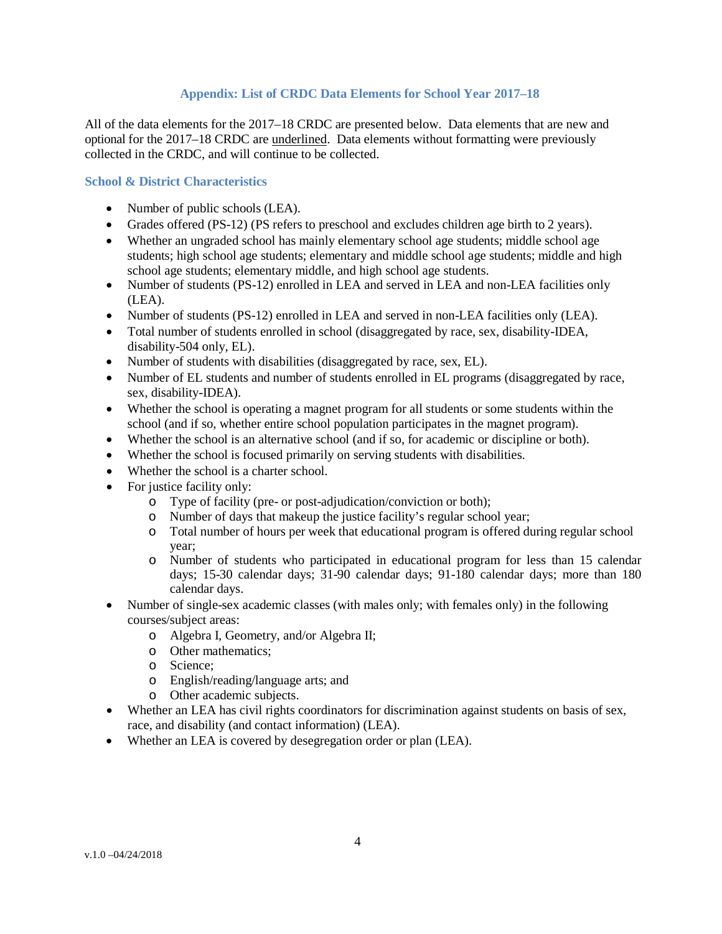### **Appendix: List of CRDC Data Elements for School Year 2017–18**

All of the data elements for the 2017–18 CRDC are presented below. Data elements that are new and optional for the 2017–18 CRDC are underlined. Data elements without formatting were previously collected in the CRDC, and will continue to be collected.

### **School & District Characteristics**

- Number of public schools (LEA).
- Grades offered (PS-12) (PS refers to preschool and excludes children age birth to 2 years).
- Whether an ungraded school has mainly elementary school age students; middle school age students; high school age students; elementary and middle school age students; middle and high school age students; elementary middle, and high school age students.
- Number of students (PS-12) enrolled in LEA and served in LEA and non-LEA facilities only (LEA).
- Number of students (PS-12) enrolled in LEA and served in non-LEA facilities only (LEA).
- Total number of students enrolled in school (disaggregated by race, sex, disability-IDEA, disability-504 only, EL).
- Number of students with disabilities (disaggregated by race, sex, EL).
- Number of EL students and number of students enrolled in EL programs (disaggregated by race, sex, disability-IDEA).
- Whether the school is operating a magnet program for all students or some students within the school (and if so, whether entire school population participates in the magnet program).
- Whether the school is an alternative school (and if so, for academic or discipline or both).
- Whether the school is focused primarily on serving students with disabilities.
- Whether the school is a charter school.
- For justice facility only:
	- o Type of facility (pre- or post-adjudication/conviction or both);
	- o Number of days that makeup the justice facility's regular school year;
	- o Total number of hours per week that educational program is offered during regular school year;
	- o Number of students who participated in educational program for less than 15 calendar days; 15-30 calendar days; 31-90 calendar days; 91-180 calendar days; more than 180 calendar days.
- Number of single-sex academic classes (with males only; with females only) in the following courses/subject areas:
	- o Algebra I, Geometry, and/or Algebra II;
	- o Other mathematics;
	- o Science;
	- o English/reading/language arts; and
	- o Other academic subjects.
- Whether an LEA has civil rights coordinators for discrimination against students on basis of sex, race, and disability (and contact information) (LEA).
- Whether an LEA is covered by desegregation order or plan (LEA).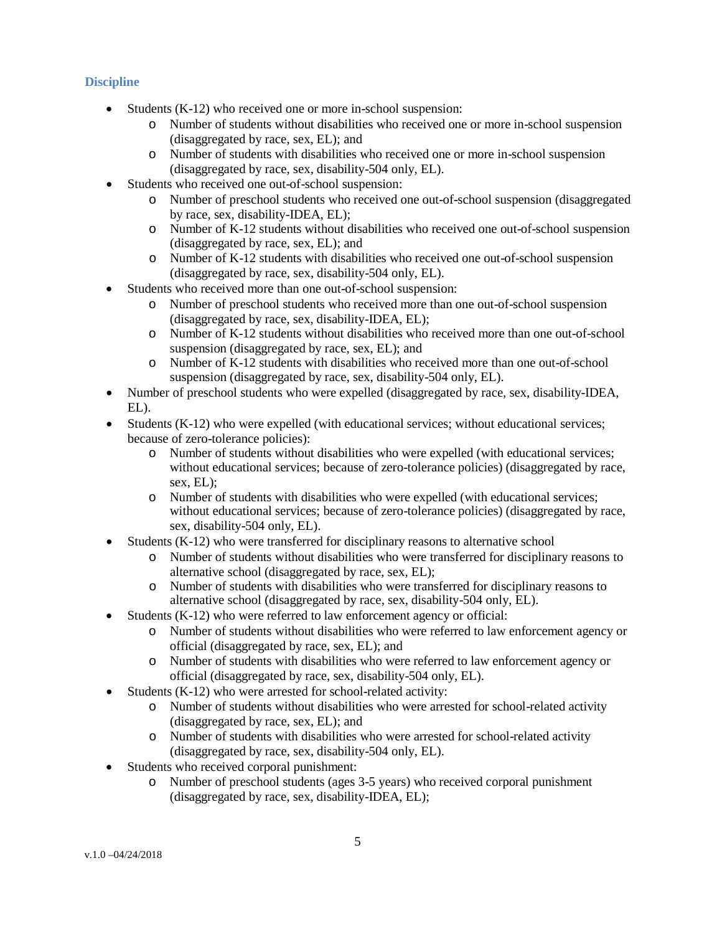# **Discipline**

- Students (K-12) who received one or more in-school suspension:
	- o Number of students without disabilities who received one or more in-school suspension (disaggregated by race, sex, EL); and
	- o Number of students with disabilities who received one or more in-school suspension (disaggregated by race, sex, disability-504 only, EL).
- Students who received one out-of-school suspension:
	- o Number of preschool students who received one out-of-school suspension (disaggregated by race, sex, disability-IDEA, EL);
	- o Number of K-12 students without disabilities who received one out-of-school suspension (disaggregated by race, sex, EL); and
	- o Number of K-12 students with disabilities who received one out-of-school suspension (disaggregated by race, sex, disability-504 only, EL).
- Students who received more than one out-of-school suspension:
	- o Number of preschool students who received more than one out-of-school suspension (disaggregated by race, sex, disability-IDEA, EL);
	- o Number of K-12 students without disabilities who received more than one out-of-school suspension (disaggregated by race, sex, EL); and
	- o Number of K-12 students with disabilities who received more than one out-of-school suspension (disaggregated by race, sex, disability-504 only, EL).
- Number of preschool students who were expelled (disaggregated by race, sex, disability-IDEA, EL).
- Students (K-12) who were expelled (with educational services; without educational services; because of zero-tolerance policies):
	- o Number of students without disabilities who were expelled (with educational services; without educational services; because of zero-tolerance policies) (disaggregated by race, sex, EL);
	- o Number of students with disabilities who were expelled (with educational services; without educational services; because of zero-tolerance policies) (disaggregated by race, sex, disability-504 only, EL).
- Students (K-12) who were transferred for disciplinary reasons to alternative school
	- o Number of students without disabilities who were transferred for disciplinary reasons to alternative school (disaggregated by race, sex, EL);
	- o Number of students with disabilities who were transferred for disciplinary reasons to alternative school (disaggregated by race, sex, disability-504 only, EL).
- Students (K-12) who were referred to law enforcement agency or official:
	- o Number of students without disabilities who were referred to law enforcement agency or official (disaggregated by race, sex, EL); and
	- o Number of students with disabilities who were referred to law enforcement agency or official (disaggregated by race, sex, disability-504 only, EL).
- Students (K-12) who were arrested for school-related activity:
	- o Number of students without disabilities who were arrested for school-related activity (disaggregated by race, sex, EL); and
	- o Number of students with disabilities who were arrested for school-related activity (disaggregated by race, sex, disability-504 only, EL).
- Students who received corporal punishment:
	- o Number of preschool students (ages 3-5 years) who received corporal punishment (disaggregated by race, sex, disability-IDEA, EL);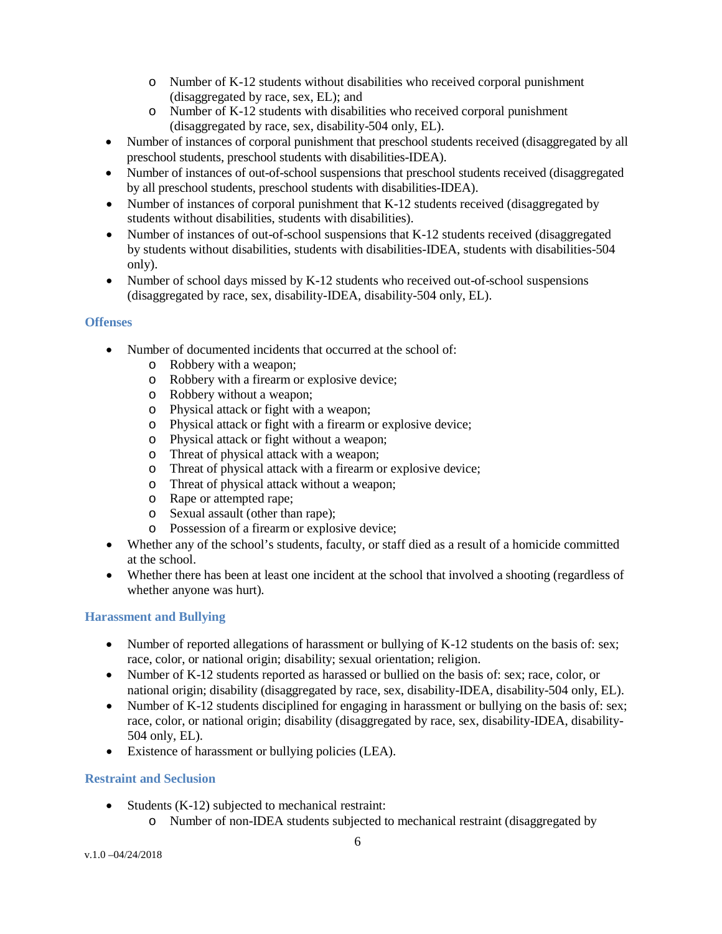- o Number of K-12 students without disabilities who received corporal punishment (disaggregated by race, sex, EL); and
- o Number of K-12 students with disabilities who received corporal punishment (disaggregated by race, sex, disability-504 only, EL).
- Number of instances of corporal punishment that preschool students received (disaggregated by all preschool students, preschool students with disabilities-IDEA).
- Number of instances of out-of-school suspensions that preschool students received (disaggregated by all preschool students, preschool students with disabilities-IDEA).
- Number of instances of corporal punishment that K-12 students received (disaggregated by students without disabilities, students with disabilities).
- Number of instances of out-of-school suspensions that K-12 students received (disaggregated by students without disabilities, students with disabilities-IDEA, students with disabilities-504 only).
- Number of school days missed by K-12 students who received out-of-school suspensions (disaggregated by race, sex, disability-IDEA, disability-504 only, EL).

## **Offenses**

- Number of documented incidents that occurred at the school of:
	- o Robbery with a weapon;
	- o Robbery with a firearm or explosive device;
	- o Robbery without a weapon;
	- o Physical attack or fight with a weapon;
	- o Physical attack or fight with a firearm or explosive device;
	- o Physical attack or fight without a weapon;
	- o Threat of physical attack with a weapon;
	- o Threat of physical attack with a firearm or explosive device;
	- o Threat of physical attack without a weapon;
	- o Rape or attempted rape;
	- o Sexual assault (other than rape);
	- o Possession of a firearm or explosive device;
- Whether any of the school's students, faculty, or staff died as a result of a homicide committed at the school.
- Whether there has been at least one incident at the school that involved a shooting (regardless of whether anyone was hurt).

## **Harassment and Bullying**

- Number of reported allegations of harassment or bullying of K-12 students on the basis of: sex; race, color, or national origin; disability; sexual orientation; religion.
- Number of K-12 students reported as harassed or bullied on the basis of: sex; race, color, or national origin; disability (disaggregated by race, sex, disability-IDEA, disability-504 only, EL).
- Number of K-12 students disciplined for engaging in harassment or bullying on the basis of: sex; race, color, or national origin; disability (disaggregated by race, sex, disability-IDEA, disability-504 only, EL).
- Existence of harassment or bullying policies (LEA).

### **Restraint and Seclusion**

- Students (K-12) subjected to mechanical restraint:
	- o Number of non-IDEA students subjected to mechanical restraint (disaggregated by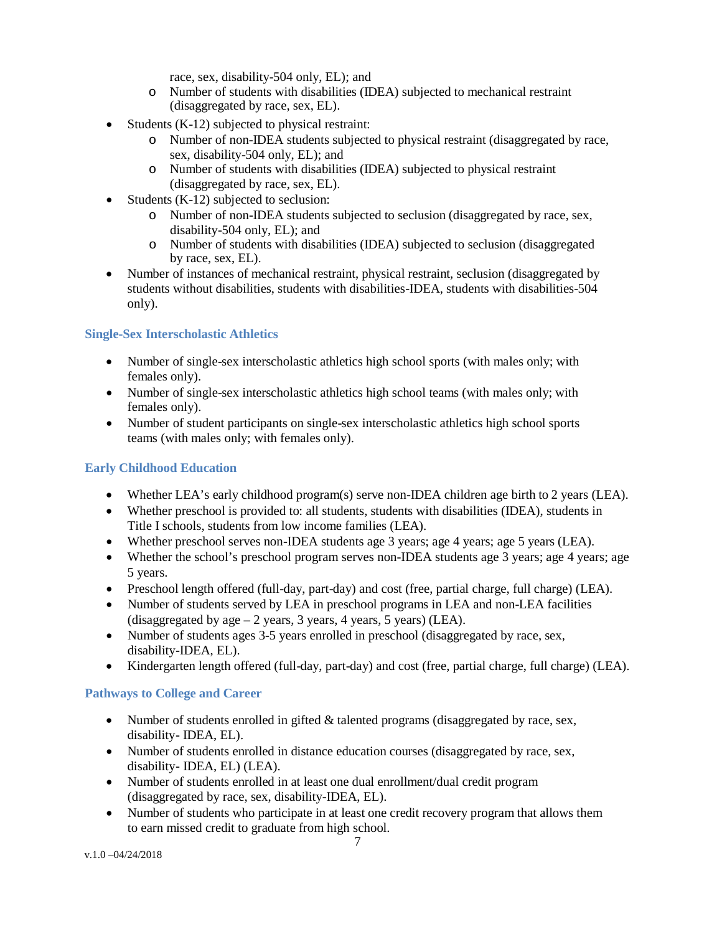race, sex, disability-504 only, EL); and

- o Number of students with disabilities (IDEA) subjected to mechanical restraint (disaggregated by race, sex, EL).
- Students (K-12) subjected to physical restraint:
	- o Number of non-IDEA students subjected to physical restraint (disaggregated by race, sex, disability-504 only, EL); and
	- o Number of students with disabilities (IDEA) subjected to physical restraint (disaggregated by race, sex, EL).
- Students (K-12) subjected to seclusion:
	- o Number of non-IDEA students subjected to seclusion (disaggregated by race, sex, disability-504 only, EL); and
	- o Number of students with disabilities (IDEA) subjected to seclusion (disaggregated by race, sex, EL).
- Number of instances of mechanical restraint, physical restraint, seclusion (disaggregated by students without disabilities, students with disabilities-IDEA, students with disabilities-504 only).

## **Single-Sex Interscholastic Athletics**

- Number of single-sex interscholastic athletics high school sports (with males only; with females only).
- Number of single-sex interscholastic athletics high school teams (with males only; with females only).
- Number of student participants on single-sex interscholastic athletics high school sports teams (with males only; with females only).

## **Early Childhood Education**

- Whether LEA's early childhood program(s) serve non-IDEA children age birth to 2 years (LEA).
- Whether preschool is provided to: all students, students with disabilities (IDEA), students in Title I schools, students from low income families (LEA).
- Whether preschool serves non-IDEA students age 3 years; age 4 years; age 5 years (LEA).
- Whether the school's preschool program serves non-IDEA students age 3 years; age 4 years; age 5 years.
- Preschool length offered (full-day, part-day) and cost (free, partial charge, full charge) (LEA).
- Number of students served by LEA in preschool programs in LEA and non-LEA facilities (disaggregated by age  $-2$  years, 3 years, 4 years, 5 years) (LEA).
- Number of students ages 3-5 years enrolled in preschool (disaggregated by race, sex, disability-IDEA, EL).
- Kindergarten length offered (full-day, part-day) and cost (free, partial charge, full charge) (LEA).

## **Pathways to College and Career**

- Number of students enrolled in gifted & talented programs (disaggregated by race, sex, disability- IDEA, EL).
- Number of students enrolled in distance education courses (disaggregated by race, sex, disability- IDEA, EL) (LEA).
- Number of students enrolled in at least one dual enrollment/dual credit program (disaggregated by race, sex, disability-IDEA, EL).
- Number of students who participate in at least one credit recovery program that allows them to earn missed credit to graduate from high school.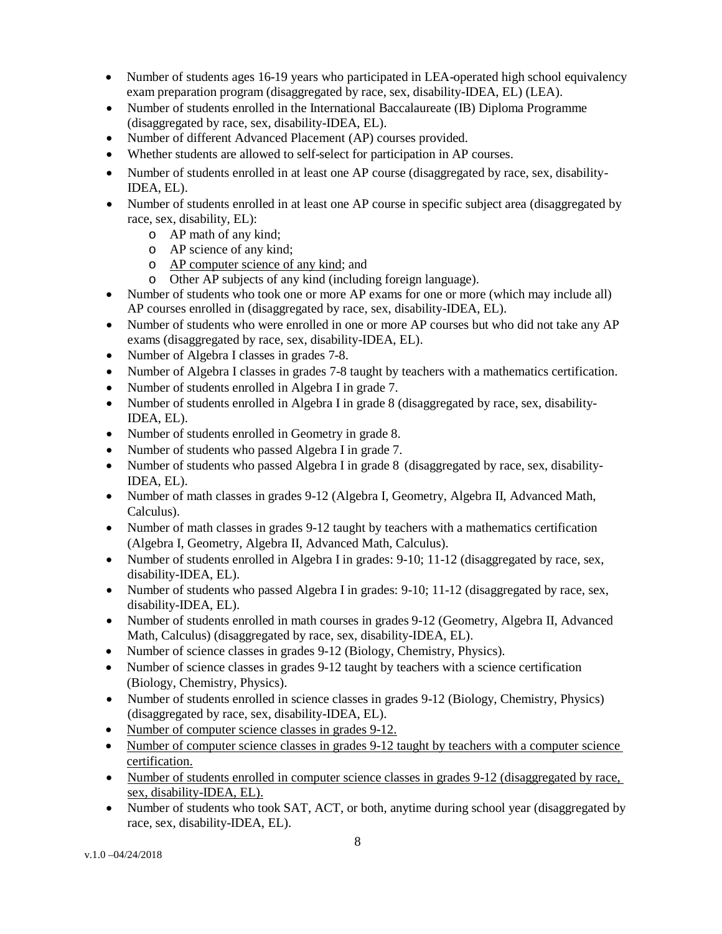- Number of students ages 16-19 years who participated in LEA-operated high school equivalency exam preparation program (disaggregated by race, sex, disability-IDEA, EL) (LEA).
- Number of students enrolled in the International Baccalaureate (IB) Diploma Programme (disaggregated by race, sex, disability-IDEA, EL).
- Number of different Advanced Placement (AP) courses provided.
- Whether students are allowed to self-select for participation in AP courses.
- Number of students enrolled in at least one AP course (disaggregated by race, sex, disability-IDEA, EL).
- Number of students enrolled in at least one AP course in specific subject area (disaggregated by race, sex, disability, EL):
	- o AP math of any kind;
	- o AP science of any kind;
	- o AP computer science of any kind; and
	- o Other AP subjects of any kind (including foreign language).
- Number of students who took one or more AP exams for one or more (which may include all) AP courses enrolled in (disaggregated by race, sex, disability-IDEA, EL).
- Number of students who were enrolled in one or more AP courses but who did not take any AP exams (disaggregated by race, sex, disability-IDEA, EL).
- Number of Algebra I classes in grades 7-8.
- Number of Algebra I classes in grades 7-8 taught by teachers with a mathematics certification.
- Number of students enrolled in Algebra I in grade 7.
- Number of students enrolled in Algebra I in grade 8 (disaggregated by race, sex, disability-IDEA, EL).
- Number of students enrolled in Geometry in grade 8.
- Number of students who passed Algebra I in grade 7.
- Number of students who passed Algebra I in grade 8 (disaggregated by race, sex, disability-IDEA, EL).
- Number of math classes in grades 9-12 (Algebra I, Geometry, Algebra II, Advanced Math, Calculus).
- Number of math classes in grades 9-12 taught by teachers with a mathematics certification (Algebra I, Geometry, Algebra II, Advanced Math, Calculus).
- Number of students enrolled in Algebra I in grades: 9-10; 11-12 (disaggregated by race, sex, disability-IDEA, EL).
- Number of students who passed Algebra I in grades: 9-10; 11-12 (disaggregated by race, sex, disability-IDEA, EL).
- Number of students enrolled in math courses in grades 9-12 (Geometry, Algebra II, Advanced Math, Calculus) (disaggregated by race, sex, disability-IDEA, EL).
- Number of science classes in grades 9-12 (Biology, Chemistry, Physics).
- Number of science classes in grades 9-12 taught by teachers with a science certification (Biology, Chemistry, Physics).
- Number of students enrolled in science classes in grades 9-12 (Biology, Chemistry, Physics) (disaggregated by race, sex, disability-IDEA, EL).
- Number of computer science classes in grades 9-12.
- Number of computer science classes in grades 9-12 taught by teachers with a computer science certification.
- Number of students enrolled in computer science classes in grades 9-12 (disaggregated by race, sex, disability-IDEA, EL).
- Number of students who took SAT, ACT, or both, anytime during school year (disaggregated by race, sex, disability-IDEA, EL).